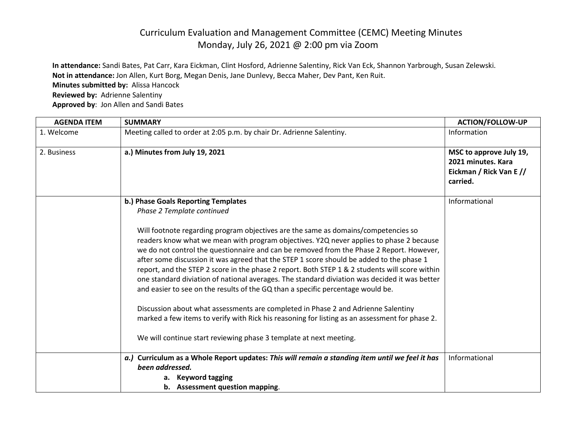## Curriculum Evaluation and Management Committee (CEMC) Meeting Minutes Monday, July 26, 2021 @ 2:00 pm via Zoom

**In attendance:** Sandi Bates, Pat Carr, Kara Eickman, Clint Hosford, Adrienne Salentiny, Rick Van Eck, Shannon Yarbrough, Susan Zelewski. **Not in attendance:** Jon Allen, Kurt Borg, Megan Denis, Jane Dunlevy, Becca Maher, Dev Pant, Ken Ruit. **Minutes submitted by:** Alissa Hancock **Reviewed by:** Adrienne Salentiny **Approved by**: Jon Allen and Sandi Bates

| <b>AGENDA ITEM</b> | <b>SUMMARY</b>                                                                                                                                                                                                                                                                                                                                                                                                                                                                                                                                                                                                                                                                                                                                                                                                                                     | <b>ACTION/FOLLOW-UP</b>                                                              |
|--------------------|----------------------------------------------------------------------------------------------------------------------------------------------------------------------------------------------------------------------------------------------------------------------------------------------------------------------------------------------------------------------------------------------------------------------------------------------------------------------------------------------------------------------------------------------------------------------------------------------------------------------------------------------------------------------------------------------------------------------------------------------------------------------------------------------------------------------------------------------------|--------------------------------------------------------------------------------------|
| 1. Welcome         | Meeting called to order at 2:05 p.m. by chair Dr. Adrienne Salentiny.                                                                                                                                                                                                                                                                                                                                                                                                                                                                                                                                                                                                                                                                                                                                                                              | Information                                                                          |
| 2. Business        | a.) Minutes from July 19, 2021                                                                                                                                                                                                                                                                                                                                                                                                                                                                                                                                                                                                                                                                                                                                                                                                                     | MSC to approve July 19,<br>2021 minutes. Kara<br>Eickman / Rick Van E //<br>carried. |
|                    | b.) Phase Goals Reporting Templates<br>Phase 2 Template continued                                                                                                                                                                                                                                                                                                                                                                                                                                                                                                                                                                                                                                                                                                                                                                                  | Informational                                                                        |
|                    | Will footnote regarding program objectives are the same as domains/competencies so<br>readers know what we mean with program objectives. Y2Q never applies to phase 2 because<br>we do not control the questionnaire and can be removed from the Phase 2 Report. However,<br>after some discussion it was agreed that the STEP 1 score should be added to the phase 1<br>report, and the STEP 2 score in the phase 2 report. Both STEP 1 & 2 students will score within<br>one standard diviation of national averages. The standard diviation was decided it was better<br>and easier to see on the results of the GQ than a specific percentage would be.<br>Discussion about what assessments are completed in Phase 2 and Adrienne Salentiny<br>marked a few items to verify with Rick his reasoning for listing as an assessment for phase 2. |                                                                                      |
|                    | We will continue start reviewing phase 3 template at next meeting.                                                                                                                                                                                                                                                                                                                                                                                                                                                                                                                                                                                                                                                                                                                                                                                 |                                                                                      |
|                    | a.) Curriculum as a Whole Report updates: This will remain a standing item until we feel it has<br>been addressed.<br>a. Keyword tagging<br>b. Assessment question mapping.                                                                                                                                                                                                                                                                                                                                                                                                                                                                                                                                                                                                                                                                        | Informational                                                                        |